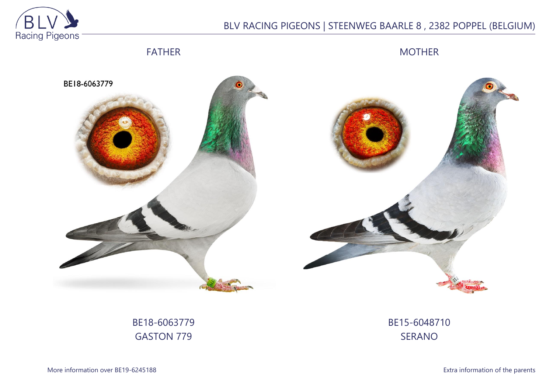

# BLV RACING PIGEONS | STEENWEG BAARLE 8 , 2382 POPPEL (BELGIUM)

## FATHER

MOTHER



BE18-6063779 GASTON 779

BE15-6048710 SERANO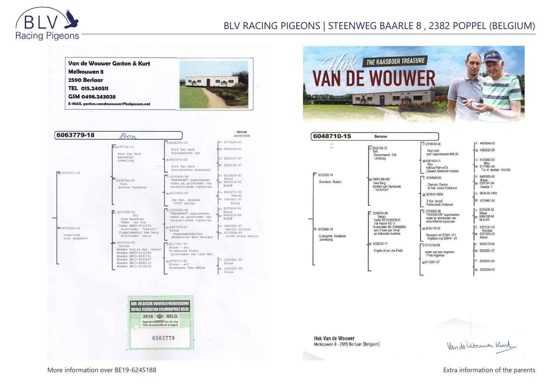

### BLV RACING PIGEONS | STEENWEG BAARLE 8 , 2382 POPPEL (BELGIUM)



| 6063779-18                                  |                                                                                                         |                                                                                                         | datum<br>22/09/2018                                                        |
|---------------------------------------------|---------------------------------------------------------------------------------------------------------|---------------------------------------------------------------------------------------------------------|----------------------------------------------------------------------------|
|                                             |                                                                                                         | $V:6086300 - 03$                                                                                        | $IV: 2173504 - 02$                                                         |
|                                             | $v:6297742 - 10$<br>Dirk Van Dyck                                                                       | Dirk Van Dyck<br>kleindochter van                                                                       | $M: 6380246 - 01$                                                          |
|                                             | geschelpt<br>zomerjong                                                                                  | M:6453372-05                                                                                            | $V: 6390147 - 97$                                                          |
| $\overline{v}$ : 6072311-14                 |                                                                                                         | Dirk Van Dyck<br>kleindochter Kannibaal                                                                 | M: 6390105-97                                                              |
|                                             | M: 6358796-09<br>Vera<br>dochter Kaasboer                                                               | $V: 6335690 - 98$<br>"KAASBOER" superkweker<br>vader en grootvader van<br>verschillende topduiven       | $V: 6235626 - 92$<br>Blauw<br>M: 6404318-96<br><b>BLAUW</b>                |
|                                             |                                                                                                         | M:6111553-09                                                                                            | $v: 6224270 - 08$<br>Pascal                                                |
|                                             |                                                                                                         | 3de Nat. Bourges<br>37357 duiven                                                                        | M: 6385691-07<br>Elsje                                                     |
| M: 6072459-14<br>zomerjong<br>niet gespeeld | $\sqrt{x}$ 6257098-03<br>Rik<br>Zoon Kaasboer<br>Vader van Tia                                          | $\sqrt{v}$ : 6335690-98<br>"KAASBOER" superkweker<br>vader en grootvader van<br>verschillende topduiven | $v: 6235626 - 92$<br>Blauw<br>M: 6404318-96<br><b>BI.AUW</b>               |
|                                             | Vader BE09-6111515<br>Grootvader "Gaston"<br>Olympiadeduif Uwe Berg<br>Grootvader Jetje                 | M:6407575-97<br>Blauw<br>Superkweekduivin<br>Henderickx Bart Berlaar                                    | $v: 6450252 - 97$<br>Marcel Cortens<br>M: 6370004-95<br>Dikke Blauw Gaston |
|                                             | $M: 6034734 - 06$<br>Celien<br>Moeder Kim, le Nat. Guéret<br>Moeder BE09-6111546<br>Moeder BE10-6031731 | $V.6517591-99$<br>Blauw - wit<br>Riimenands Frans<br>grootvader van 1ste Nat.                           |                                                                            |
|                                             | Moeder BE12-6023287<br>Moeder BE13-6062110                                                              | M <sub>2</sub> 072711-02<br>$B$ lauw - wit                                                              | $V: 2002652 - 94$<br>Blauw                                                 |
|                                             | Moeder BE11-6119102                                                                                     | Huysegoms Theo Meise                                                                                    | M: 2002291-99                                                              |





6048710-15 Serano IV: 4065848-00  $\sqrt{v}$ : 2119430-09  $\ddot{\cdot}$  $V: 2002728-12$ <br>Erik M: 4393520-99 Blue cock<br>son" superbreeder 848-00 Samenkweek Erik Limbourg  $V: 6183083-02$ M:6341403-11 Mike<br>M: 6177661-08<br>Tia kl. dochter KAASB Gita<br>Halfzus Palm-d'Or<br>Casaert-Sénéchal moeder 6072383-14 6480508-00  $\nabla 6034842-06$ M: 09861-09-586<br>Uwe Berg<br>dochter van Olympiade<br>\* GASTON\* Blauw<br>M: 6307341-04 Grandson Gaston Olympia Gaston<br>1e Nat. Asduif Duitsland Greetje 1 9639-99-1158 M: 9639-07-0099 M: 6278461-06 2 Nat. Asduif **Fahlscheck Duitsland** V: 6235626-92<br>Blauw<br>M: 6404318-96  $\nabla: 6335690-98$ <br>"KAASBOER" superkweker М 6369094-08 6369094-06<br>
Sergio<br>
Vader BE12-6023233<br>
10e Noyon 437 d<br>
Grootvader BE13-6062089 vader en grootvader van **BLAUW** verschillende topduiven 6257231-03 M:6033110-07 M: 6072455-14 v: 0297231-03<br>Ronaldo<br>M: 6257209-03<br>Blauw wint 3 keer per 10-tal<br>op Nationale vluchten Bourges nat 31824-211 G.daughter Kaasboer Argenton nat 20844 - 31 zomerjong : 6326793-11 6495178-94  $\nabla 6151734-99$ Engels Jul en Jos Putte M: 6362091-97 vader van den Argenton 1°nat.Argenton V: 6226043-03 M6110291-07 M: 6226250-03

**Hok Van de Wouwer** Melkouwen 8 - 2590 Berlaar (Belgium)

Van de Wouwer Kurt